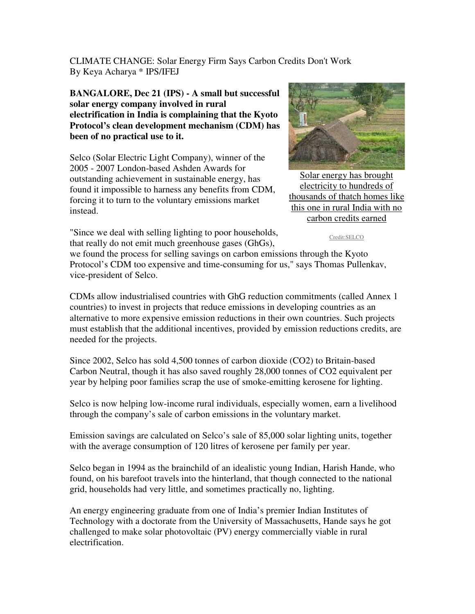CLIMATE CHANGE: Solar Energy Firm Says Carbon Credits Don't Work By Keya Acharya \* IPS/IFEJ

**BANGALORE, Dec 21 (IPS) - A small but successful solar energy company involved in rural electrification in India is complaining that the Kyoto Protocol's clean development mechanism (CDM) has been of no practical use to it.** 

Selco (Solar Electric Light Company), winner of the 2005 - 2007 London-based Ashden Awards for outstanding achievement in sustainable energy, has found it impossible to harness any benefits from CDM, forcing it to turn to the voluntary emissions market instead.



Solar energy has brought electricity to hundreds of thousands of thatch homes like this one in rural India with no carbon credits earned

"Since we deal with selling lighting to poor households, that really do not emit much greenhouse gases (GhGs),

Credit:SELCO

we found the process for selling savings on carbon emissions through the Kyoto Protocol's CDM too expensive and time-consuming for us," says Thomas Pullenkav, vice-president of Selco.

CDMs allow industrialised countries with GhG reduction commitments (called Annex 1 countries) to invest in projects that reduce emissions in developing countries as an alternative to more expensive emission reductions in their own countries. Such projects must establish that the additional incentives, provided by emission reductions credits, are needed for the projects.

Since 2002, Selco has sold 4,500 tonnes of carbon dioxide (CO2) to Britain-based Carbon Neutral, though it has also saved roughly 28,000 tonnes of CO2 equivalent per year by helping poor families scrap the use of smoke-emitting kerosene for lighting.

Selco is now helping low-income rural individuals, especially women, earn a livelihood through the company's sale of carbon emissions in the voluntary market.

Emission savings are calculated on Selco's sale of 85,000 solar lighting units, together with the average consumption of 120 litres of kerosene per family per year.

Selco began in 1994 as the brainchild of an idealistic young Indian, Harish Hande, who found, on his barefoot travels into the hinterland, that though connected to the national grid, households had very little, and sometimes practically no, lighting.

An energy engineering graduate from one of India's premier Indian Institutes of Technology with a doctorate from the University of Massachusetts, Hande says he got challenged to make solar photovoltaic (PV) energy commercially viable in rural electrification.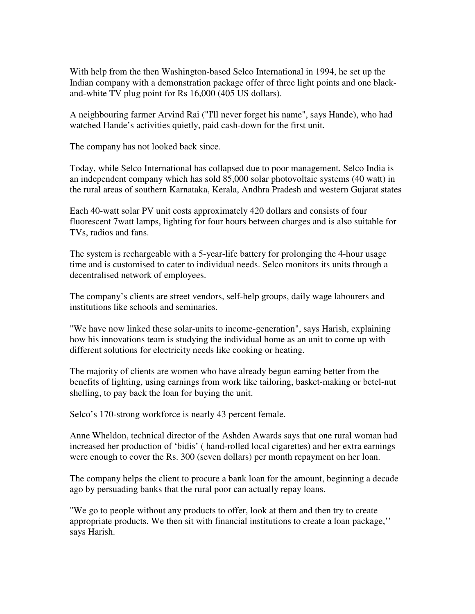With help from the then Washington-based Selco International in 1994, he set up the Indian company with a demonstration package offer of three light points and one blackand-white TV plug point for Rs 16,000 (405 US dollars).

A neighbouring farmer Arvind Rai ("I'll never forget his name", says Hande), who had watched Hande's activities quietly, paid cash-down for the first unit.

The company has not looked back since.

Today, while Selco International has collapsed due to poor management, Selco India is an independent company which has sold 85,000 solar photovoltaic systems (40 watt) in the rural areas of southern Karnataka, Kerala, Andhra Pradesh and western Gujarat states

Each 40-watt solar PV unit costs approximately 420 dollars and consists of four fluorescent 7watt lamps, lighting for four hours between charges and is also suitable for TVs, radios and fans.

The system is rechargeable with a 5-year-life battery for prolonging the 4-hour usage time and is customised to cater to individual needs. Selco monitors its units through a decentralised network of employees.

The company's clients are street vendors, self-help groups, daily wage labourers and institutions like schools and seminaries.

"We have now linked these solar-units to income-generation", says Harish, explaining how his innovations team is studying the individual home as an unit to come up with different solutions for electricity needs like cooking or heating.

The majority of clients are women who have already begun earning better from the benefits of lighting, using earnings from work like tailoring, basket-making or betel-nut shelling, to pay back the loan for buying the unit.

Selco's 170-strong workforce is nearly 43 percent female.

Anne Wheldon, technical director of the Ashden Awards says that one rural woman had increased her production of 'bidis' ( hand-rolled local cigarettes) and her extra earnings were enough to cover the Rs. 300 (seven dollars) per month repayment on her loan.

The company helps the client to procure a bank loan for the amount, beginning a decade ago by persuading banks that the rural poor can actually repay loans.

"We go to people without any products to offer, look at them and then try to create appropriate products. We then sit with financial institutions to create a loan package,'' says Harish.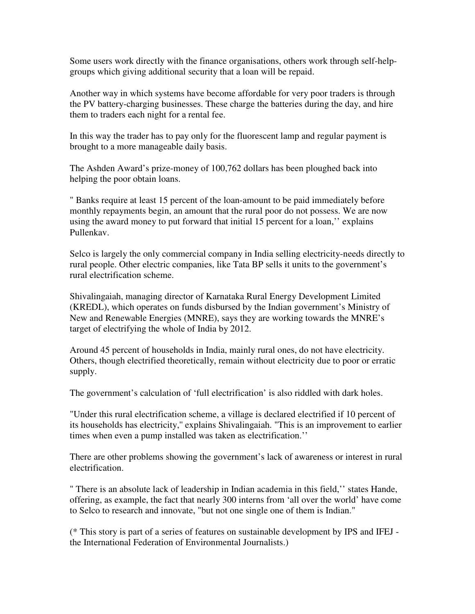Some users work directly with the finance organisations, others work through self-helpgroups which giving additional security that a loan will be repaid.

Another way in which systems have become affordable for very poor traders is through the PV battery-charging businesses. These charge the batteries during the day, and hire them to traders each night for a rental fee.

In this way the trader has to pay only for the fluorescent lamp and regular payment is brought to a more manageable daily basis.

The Ashden Award's prize-money of 100,762 dollars has been ploughed back into helping the poor obtain loans.

" Banks require at least 15 percent of the loan-amount to be paid immediately before monthly repayments begin, an amount that the rural poor do not possess. We are now using the award money to put forward that initial 15 percent for a loan,'' explains Pullenkav.

Selco is largely the only commercial company in India selling electricity-needs directly to rural people. Other electric companies, like Tata BP sells it units to the government's rural electrification scheme.

Shivalingaiah, managing director of Karnataka Rural Energy Development Limited (KREDL), which operates on funds disbursed by the Indian government's Ministry of New and Renewable Energies (MNRE), says they are working towards the MNRE's target of electrifying the whole of India by 2012.

Around 45 percent of households in India, mainly rural ones, do not have electricity. Others, though electrified theoretically, remain without electricity due to poor or erratic supply.

The government's calculation of 'full electrification' is also riddled with dark holes.

"Under this rural electrification scheme, a village is declared electrified if 10 percent of its households has electricity,'' explains Shivalingaiah. "This is an improvement to earlier times when even a pump installed was taken as electrification.''

There are other problems showing the government's lack of awareness or interest in rural electrification.

" There is an absolute lack of leadership in Indian academia in this field,'' states Hande, offering, as example, the fact that nearly 300 interns from 'all over the world' have come to Selco to research and innovate, "but not one single one of them is Indian."

(\* This story is part of a series of features on sustainable development by IPS and IFEJ the International Federation of Environmental Journalists.)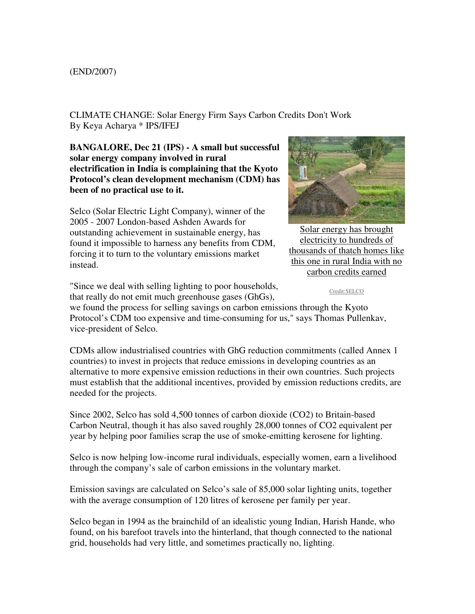## (END/2007)

CLIMATE CHANGE: Solar Energy Firm Says Carbon Credits Don't Work By Keya Acharya \* IPS/IFEJ

**BANGALORE, Dec 21 (IPS) - A small but successful solar energy company involved in rural electrification in India is complaining that the Kyoto Protocol's clean development mechanism (CDM) has been of no practical use to it.** 

Selco (Solar Electric Light Company), winner of the 2005 - 2007 London-based Ashden Awards for outstanding achievement in sustainable energy, has found it impossible to harness any benefits from CDM, forcing it to turn to the voluntary emissions market instead.



Solar energy has brought electricity to hundreds of thousands of thatch homes like this one in rural India with no carbon credits earned

Credit:SELCO

"Since we deal with selling lighting to poor households, that really do not emit much greenhouse gases (GhGs),

we found the process for selling savings on carbon emissions through the Kyoto Protocol's CDM too expensive and time-consuming for us," says Thomas Pullenkav, vice-president of Selco.

CDMs allow industrialised countries with GhG reduction commitments (called Annex 1 countries) to invest in projects that reduce emissions in developing countries as an alternative to more expensive emission reductions in their own countries. Such projects must establish that the additional incentives, provided by emission reductions credits, are needed for the projects.

Since 2002, Selco has sold 4,500 tonnes of carbon dioxide (CO2) to Britain-based Carbon Neutral, though it has also saved roughly 28,000 tonnes of CO2 equivalent per year by helping poor families scrap the use of smoke-emitting kerosene for lighting.

Selco is now helping low-income rural individuals, especially women, earn a livelihood through the company's sale of carbon emissions in the voluntary market.

Emission savings are calculated on Selco's sale of 85,000 solar lighting units, together with the average consumption of 120 litres of kerosene per family per year.

Selco began in 1994 as the brainchild of an idealistic young Indian, Harish Hande, who found, on his barefoot travels into the hinterland, that though connected to the national grid, households had very little, and sometimes practically no, lighting.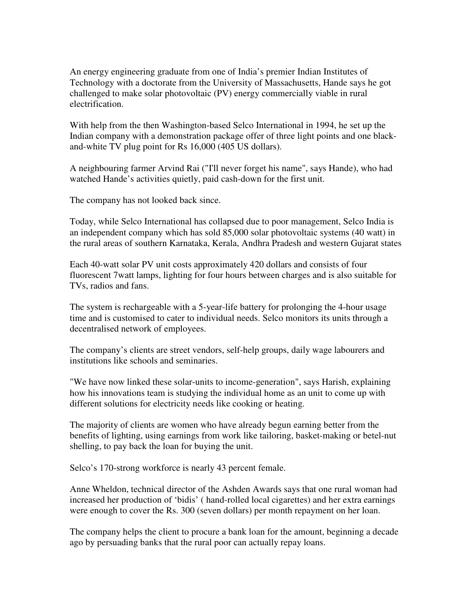An energy engineering graduate from one of India's premier Indian Institutes of Technology with a doctorate from the University of Massachusetts, Hande says he got challenged to make solar photovoltaic (PV) energy commercially viable in rural electrification.

With help from the then Washington-based Selco International in 1994, he set up the Indian company with a demonstration package offer of three light points and one blackand-white TV plug point for Rs 16,000 (405 US dollars).

A neighbouring farmer Arvind Rai ("I'll never forget his name", says Hande), who had watched Hande's activities quietly, paid cash-down for the first unit.

The company has not looked back since.

Today, while Selco International has collapsed due to poor management, Selco India is an independent company which has sold 85,000 solar photovoltaic systems (40 watt) in the rural areas of southern Karnataka, Kerala, Andhra Pradesh and western Gujarat states

Each 40-watt solar PV unit costs approximately 420 dollars and consists of four fluorescent 7watt lamps, lighting for four hours between charges and is also suitable for TVs, radios and fans.

The system is rechargeable with a 5-year-life battery for prolonging the 4-hour usage time and is customised to cater to individual needs. Selco monitors its units through a decentralised network of employees.

The company's clients are street vendors, self-help groups, daily wage labourers and institutions like schools and seminaries.

"We have now linked these solar-units to income-generation", says Harish, explaining how his innovations team is studying the individual home as an unit to come up with different solutions for electricity needs like cooking or heating.

The majority of clients are women who have already begun earning better from the benefits of lighting, using earnings from work like tailoring, basket-making or betel-nut shelling, to pay back the loan for buying the unit.

Selco's 170-strong workforce is nearly 43 percent female.

Anne Wheldon, technical director of the Ashden Awards says that one rural woman had increased her production of 'bidis' ( hand-rolled local cigarettes) and her extra earnings were enough to cover the Rs. 300 (seven dollars) per month repayment on her loan.

The company helps the client to procure a bank loan for the amount, beginning a decade ago by persuading banks that the rural poor can actually repay loans.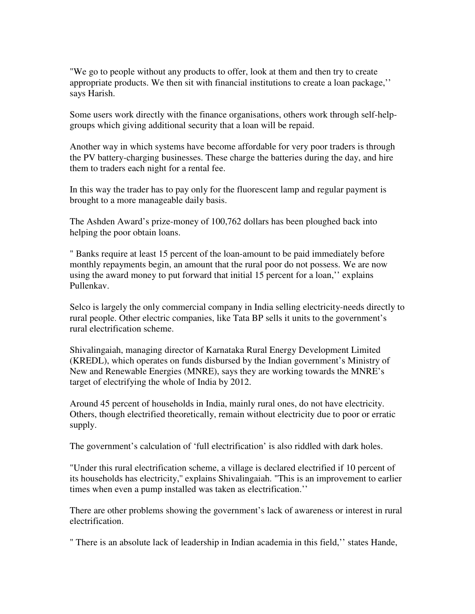"We go to people without any products to offer, look at them and then try to create appropriate products. We then sit with financial institutions to create a loan package,'' says Harish.

Some users work directly with the finance organisations, others work through self-helpgroups which giving additional security that a loan will be repaid.

Another way in which systems have become affordable for very poor traders is through the PV battery-charging businesses. These charge the batteries during the day, and hire them to traders each night for a rental fee.

In this way the trader has to pay only for the fluorescent lamp and regular payment is brought to a more manageable daily basis.

The Ashden Award's prize-money of 100,762 dollars has been ploughed back into helping the poor obtain loans.

" Banks require at least 15 percent of the loan-amount to be paid immediately before monthly repayments begin, an amount that the rural poor do not possess. We are now using the award money to put forward that initial 15 percent for a loan,'' explains Pullenkav.

Selco is largely the only commercial company in India selling electricity-needs directly to rural people. Other electric companies, like Tata BP sells it units to the government's rural electrification scheme.

Shivalingaiah, managing director of Karnataka Rural Energy Development Limited (KREDL), which operates on funds disbursed by the Indian government's Ministry of New and Renewable Energies (MNRE), says they are working towards the MNRE's target of electrifying the whole of India by 2012.

Around 45 percent of households in India, mainly rural ones, do not have electricity. Others, though electrified theoretically, remain without electricity due to poor or erratic supply.

The government's calculation of 'full electrification' is also riddled with dark holes.

"Under this rural electrification scheme, a village is declared electrified if 10 percent of its households has electricity,'' explains Shivalingaiah. "This is an improvement to earlier times when even a pump installed was taken as electrification.''

There are other problems showing the government's lack of awareness or interest in rural electrification.

" There is an absolute lack of leadership in Indian academia in this field,'' states Hande,